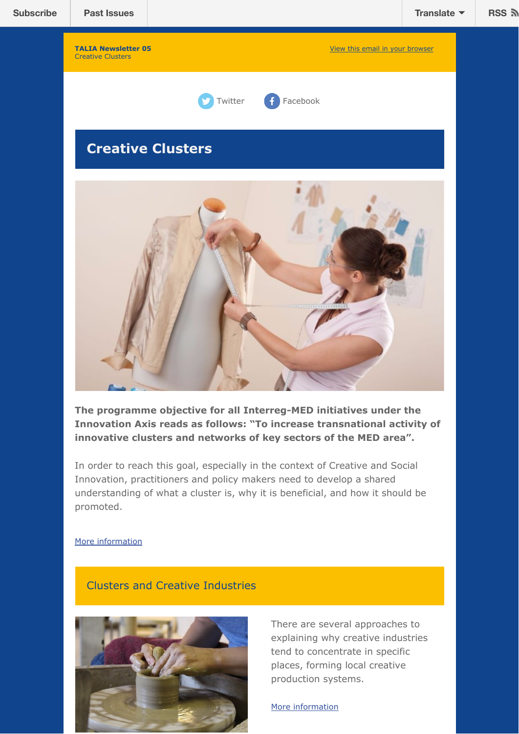# **Creative Clusters**



The programme objective for all Interreg-MED initiatives under the **Innovation Axis reads as follows: "To increase transnational activity of innovative clusters and networks of key sectors of the MED area".**

In order to reach this goal, especially in the context of Creative and Social Innovation, practitioners and policy makers need to develop a shared understanding of what a cluster is, why it is beneficial, and how it should be promoted.

#### [More information](https://social-and-creative.interreg-med.eu/fileadmin/user_upload/Sites/Social_and_Creative/horizontal_project/TALIA-policy-briefing4_V6.pdf)

## Clusters and Creative Industries



There are several approaches to explaining why creative industries tend to concentrate in specific places, forming local creative production systems.

[More information](https://social-and-creative.interreg-med.eu/fileadmin/user_upload/Sites/Social_and_Creative/horizontal_project/TALIA-policy-briefing4_V6.pdf)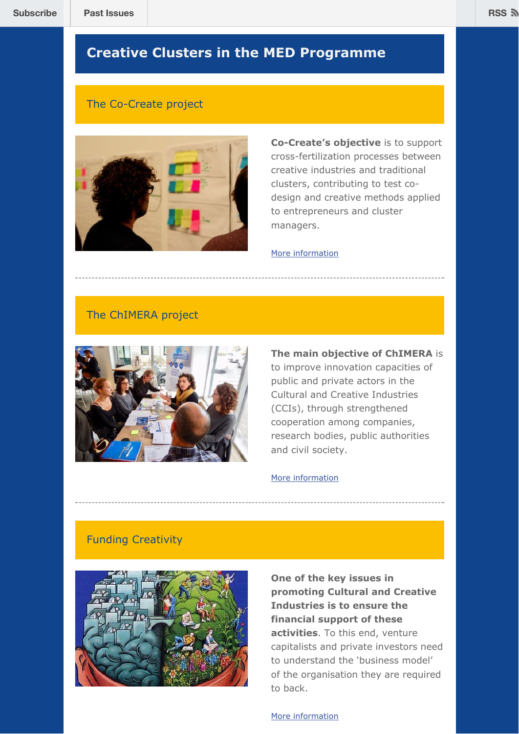# **Creative Clusters in the MED Programme**

## The Co-Create project



**Co-Create's objective** is to support cross-fertilization processes between creative industries and traditional clusters, contributing to test codesign and creative methods applied to entrepreneurs and cluster managers.

#### [More information](https://co-create.interreg-med.eu/)

## The ChIMERA project



## **The main objective of ChIMERA** is

to improve innovation capacities of public and private actors in the Cultural and Creative Industries (CCIs), through strengthened cooperation among companies, research bodies, public authorities and civil society.

#### [More information](https://chimera.interreg-med.eu/)

### Funding Creativity



**One of the key issues in promoting Cultural and Creative Industries is to ensure the financial support of these activities**. To this end, venture capitalists and private investors need to understand the 'business model' of the organisation they are required to back.

[More information](https://social-and-creative.interreg-med.eu/fileadmin/user_upload/Sites/Social_and_Creative/horizontal_project/TALIA-policy-briefing4_V6.pdf)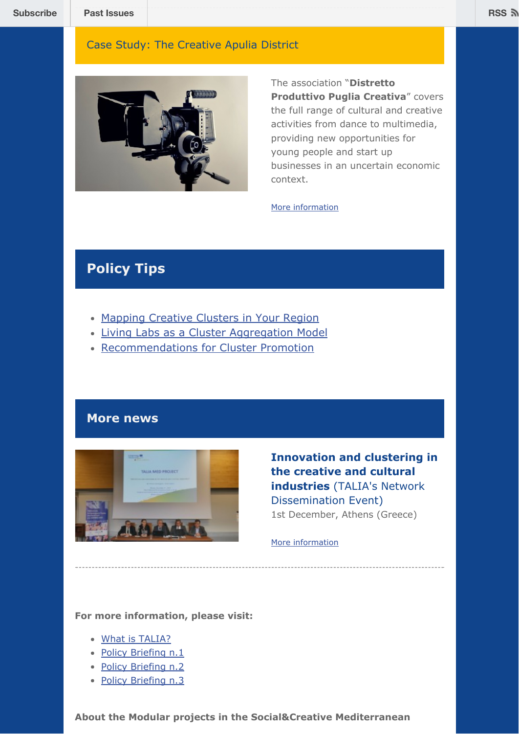## Case Study: The Creative Apulia District



The association "**Distretto Produttivo Puglia Creativa**" covers the full range of cultural and creative activities from dance to multimedia, providing new opportunities for young people and start up businesses in an uncertain economic context.

#### [More information](http://www.pugliacreativa.it/)

# **Policy Tips**

- [Mapping Creative Clusters in Your Region](https://social-and-creative.interreg-med.eu/fileadmin/user_upload/Sites/Social_and_Creative/horizontal_project/TALIA-policy-briefing4_V6.pdf)
- [Living Labs as a Cluster Aggregation Model](https://social-and-creative.interreg-med.eu/fileadmin/user_upload/Sites/Social_and_Creative/horizontal_project/TALIA-policy-briefing4_V6.pdf)
- [Recommendations for Cluster Promotion](https://social-and-creative.interreg-med.eu/fileadmin/user_upload/Sites/Social_and_Creative/horizontal_project/TALIA-policy-briefing4_V6.pdf)

## **More news**



**Innovation and clustering in the creative and cultural industries** (TALIA's Network Dissemination Event) 1st December, Athens (Greece)

[More information](https://www.slideshare.net/TaliaMED/talia-med-project)

### **For more information, please visit:**

- [What is TALIA?](https://www.slideshare.net/TaliaMED/what-is-talia-httpinterregmedeuthematicssocialcreative)
- [Policy Briefing n.1](https://www.slideshare.net/TaliaMED/talia-policy-briefing-n1)
- [Policy Briefing n.2](https://www.slideshare.net/TaliaMED/talia-policy-briefing-n-2)
- [Policy Briefing n.3](https://www.slideshare.net/TaliaMED/talia-policy-briefing-n-3)

**About the Modular projects in the Social&Creative Mediterranean**